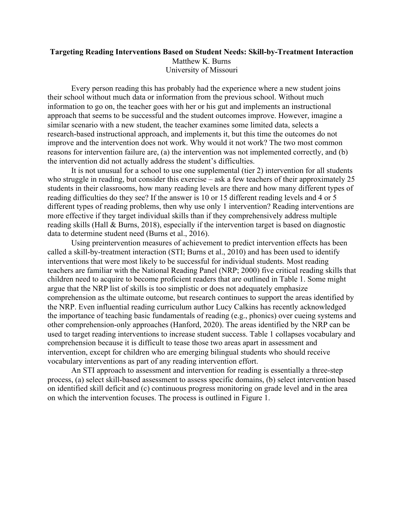## **Targeting Reading Interventions Based on Student Needs: Skill-by-Treatment Interaction** Matthew K. Burns University of Missouri

Every person reading this has probably had the experience where a new student joins their school without much data or information from the previous school. Without much information to go on, the teacher goes with her or his gut and implements an instructional approach that seems to be successful and the student outcomes improve. However, imagine a similar scenario with a new student, the teacher examines some limited data, selects a research-based instructional approach, and implements it, but this time the outcomes do not improve and the intervention does not work. Why would it not work? The two most common reasons for intervention failure are, (a) the intervention was not implemented correctly, and (b) the intervention did not actually address the student's difficulties.

It is not unusual for a school to use one supplemental (tier 2) intervention for all students who struggle in reading, but consider this exercise – ask a few teachers of their approximately 25 students in their classrooms, how many reading levels are there and how many different types of reading difficulties do they see? If the answer is 10 or 15 different reading levels and 4 or 5 different types of reading problems, then why use only 1 intervention? Reading interventions are more effective if they target individual skills than if they comprehensively address multiple reading skills (Hall & Burns, 2018), especially if the intervention target is based on diagnostic data to determine student need (Burns et al., 2016).

Using preintervention measures of achievement to predict intervention effects has been called a skill-by-treatment interaction (STI; Burns et al., 2010) and has been used to identify interventions that were most likely to be successful for individual students. Most reading teachers are familiar with the National Reading Panel (NRP; 2000) five critical reading skills that children need to acquire to become proficient readers that are outlined in Table 1. Some might argue that the NRP list of skills is too simplistic or does not adequately emphasize comprehension as the ultimate outcome, but research continues to support the areas identified by the NRP. Even influential reading curriculum author Lucy Calkins has recently acknowledged the importance of teaching basic fundamentals of reading (e.g., phonics) over cueing systems and other comprehension-only approaches (Hanford, 2020). The areas identified by the NRP can be used to target reading interventions to increase student success. Table 1 collapses vocabulary and comprehension because it is difficult to tease those two areas apart in assessment and intervention, except for children who are emerging bilingual students who should receive vocabulary interventions as part of any reading intervention effort.

An STI approach to assessment and intervention for reading is essentially a three-step process, (a) select skill-based assessment to assess specific domains, (b) select intervention based on identified skill deficit and (c) continuous progress monitoring on grade level and in the area on which the intervention focuses. The process is outlined in Figure 1.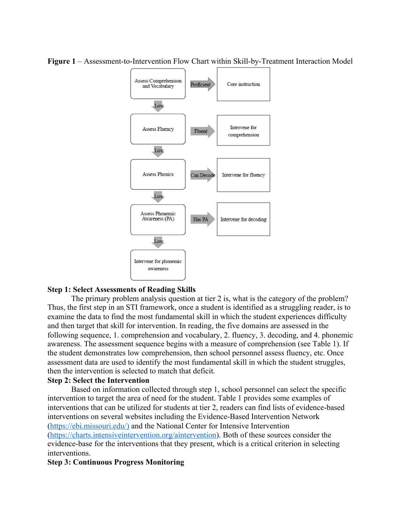

**Figure 1** – Assessment-to-Intervention Flow Chart within Skill-by-Treatment Interaction Model

# **Step 1: Select Assessments of Reading Skills**

The primary problem analysis question at tier 2 is, what is the category of the problem? Thus, the first step in an STI framework, once a student is identified as a struggling reader, is to examine the data to find the most fundamental skill in which the student experiences difficulty and then target that skill for intervention. In reading, the five domains are assessed in the following sequence, 1. comprehension and vocabulary, 2. fluency, 3. decoding, and 4. phonemic awareness. The assessment sequence begins with a measure of comprehension (see Table 1). If the student demonstrates low comprehension, then school personnel assess fluency, etc. Once assessment data are used to identify the most fundamental skill in which the student struggles, then the intervention is selected to match that deficit.

# **Step 2: Select the Intervention**

Based on information collected through step 1, school personnel can select the specific intervention to target the area of need for the student. Table 1 provides some examples of interventions that can be utilized for students at tier 2, readers can find lists of evidence-based interventions on several websites including the Evidence-Based Intervention Network ([https://ebi.missouri.edu/\)](https://ebi.missouri.edu/)d) and the National Center for Intensive Intervention ([https://charts.intensiveintervention.org/aintervention\)](https://charts.intensiveintervention.org/aintervention). Both of these sources consider the evidence-base for the interventions that they present, which is a critical criterion in selecting interventions.

### **Step 3: Continuous Progress Monitoring**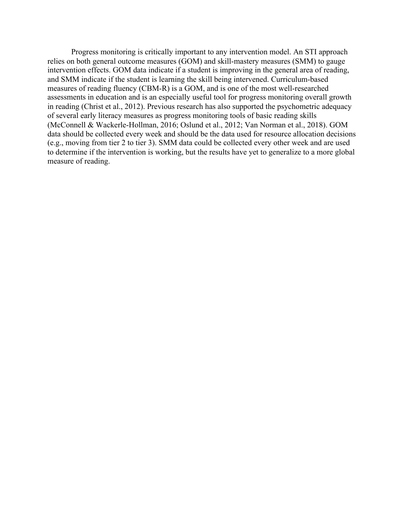Progress monitoring is critically important to any intervention model. An STI approach relies on both general outcome measures (GOM) and skill-mastery measures (SMM) to gauge intervention effects. GOM data indicate if a student is improving in the general area of reading, and SMM indicate if the student is learning the skill being intervened. Curriculum-based measures of reading fluency (CBM-R) is a GOM, and is one of the most well-researched assessments in education and is an especially useful tool for progress monitoring overall growth in reading (Christ et al., 2012). Previous research has also supported the psychometric adequacy of several early literacy measures as progress monitoring tools of basic reading skills (McConnell & Wackerle-Hollman, 2016; Oslund et al., 2012; Van Norman et al., 2018). GOM data should be collected every week and should be the data used for resource allocation decisions (e.g., moving from tier 2 to tier 3). SMM data could be collected every other week and are used to determine if the intervention is working, but the results have yet to generalize to a more global measure of reading.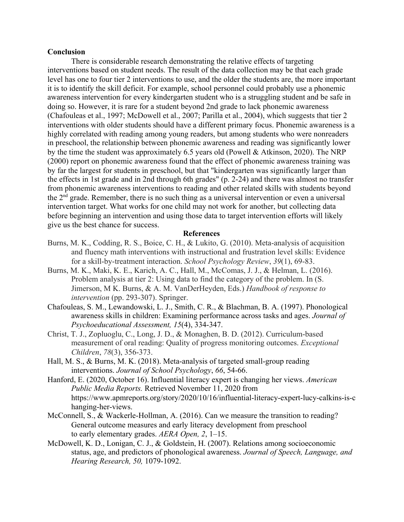### **Conclusion**

There is considerable research demonstrating the relative effects of targeting interventions based on student needs. The result of the data collection may be that each grade level has one to four tier 2 interventions to use, and the older the students are, the more important it is to identify the skill deficit. For example, school personnel could probably use a phonemic awareness intervention for every kindergarten student who is a struggling student and be safe in doing so. However, it is rare for a student beyond 2nd grade to lack phonemic awareness (Chafouleas et al., 1997; McDowell et al., 2007; Parilla et al., 2004), which suggests that tier 2 interventions with older students should have a different primary focus. Phonemic awareness is a highly correlated with reading among young readers, but among students who were nonreaders in preschool, the relationship between phonemic awareness and reading was significantly lower by the time the student was approximately 6.5 years old (Powell & Atkinson, 2020). The NRP (2000) report on phonemic awareness found that the effect of phonemic awareness training was by far the largest for students in preschool, but that "kindergarten was significantly larger than the effects in 1st grade and in 2nd through 6th grades" (p. 2-24) and there was almost no transfer from phonemic awareness interventions to reading and other related skills with students beyond the 2<sup>nd</sup> grade. Remember, there is no such thing as a universal intervention or even a universal intervention target. What works for one child may not work for another, but collecting data before beginning an intervention and using those data to target intervention efforts will likely give us the best chance for success.

### **References**

- Burns, M. K., Codding, R. S., Boice, C. H., & Lukito, G. (2010). Meta-analysis of acquisition and fluency math interventions with instructional and frustration level skills: Evidence for a skill-by-treatment interaction. *School Psychology Review*, *39*(1), 69-83.
- Burns, M. K., Maki, K. E., Karich, A. C., Hall, M., McComas, J. J., & Helman, L. (2016). Problem analysis at tier 2: Using data to find the category of the problem. In (S. Jimerson, M K. Burns, & A. M. VanDerHeyden, Eds.) *Handbook of response to intervention* (pp. 293-307). Springer.
- Chafouleas, S. M., Lewandowski, L. J., Smith, C. R., & Blachman, B. A. (1997). Phonological awareness skills in children: Examining performance across tasks and ages. *Journal of Psychoeducational Assessment, 15*(4), 334-347.
- Christ, T. J., Zopluoglu, C., Long, J. D., & Monaghen, B. D. (2012). Curriculum-based measurement of oral reading: Quality of progress monitoring outcomes. *Exceptional Children*, *78*(3), 356-373.
- Hall, M. S., & Burns, M. K. (2018). Meta-analysis of targeted small-group reading interventions. *Journal of School Psychology*, *66*, 54-66.
- Hanford, E. (2020, October 16). Influential literacy expert is changing her views. *American Public Media Reports.* Retrieved November 11, 2020 from https://www.apmreports.org/story/2020/10/16/influential-literacy-expert-lucy-calkins-is-c hanging-her-views.
- McConnell, S., & Wackerle-Hollman, A. (2016). Can we measure the transition to reading? General outcome measures and early literacy development from preschool to early elementary grades. *AERA Open, 2*, 1–15.
- McDowell, K. D., Lonigan, C. J., & Goldstein, H. (2007). Relations among socioeconomic status, age, and predictors of phonological awareness. *Journal of Speech, Language, and Hearing Research, 50,* 1079-1092.